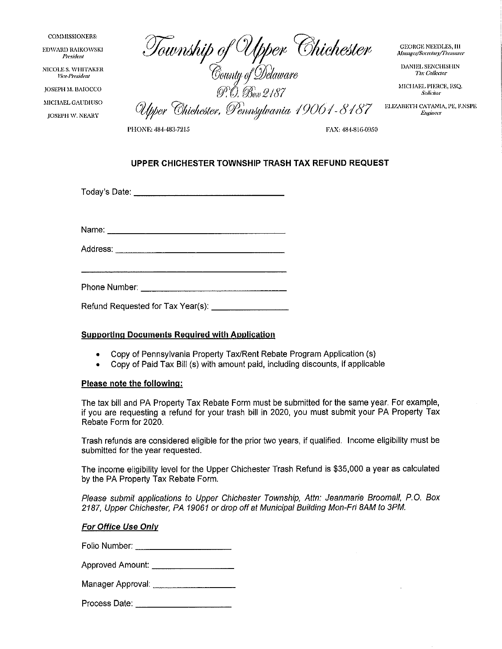**COMMISSIONERS:** 

EDWARD RAIKOWSKI President

NICOLE S. WHITAKER Vice-President

JOSEPH M. BAIOCCO

MICHAEL GAUDIUSO

**IOSEPH W. NEARY** 

Township of Upper Chichester<br>County of Delaware<br>County of Delaware<br>Upper Chichester, Pennsylvania 19061-8187

**GEORGE NEEDLES, III** Manager/Secretary/Treasurer

DANIEL SENCHISHIN Tax Collector

MICHAEL PIERCE, ESQ. Soncitor

ELIZABETH CATANIA, PE, F.NSPE Engineer

PHONE: 484-483-7215

FAX: 484-816-0950

# UPPER CHICHESTER TOWNSHIP TRASH TAX REFUND REQUEST

Address: Address: Address: Address: Address: Address: Address: Address: Address: Address: Address: A

## **Supporting Documents Required with Application**

- Copy of Pennsylvania Property Tax/Rent Rebate Program Application (s)  $\bullet$
- Copy of Paid Tax Bill (s) with amount paid, including discounts, if applicable

#### Please note the following:

The tax bill and PA Property Tax Rebate Form must be submitted for the same year. For example, if you are requesting a refund for your trash bill in 2020, you must submit your PA Property Tax Rebate Form for 2020.

Trash refunds are considered eligible for the prior two years, if qualified. Income eligibility must be submitted for the year requested.

The income eligibility level for the Upper Chichester Trash Refund is \$35,000 a year as calculated by the PA Property Tax Rebate Form.

Please submit applications to Upper Chichester Township, Attn: Jeanmarie Broomall, P.O. Box 2187, Upper Chichester, PA 19061 or drop off at Municipal Building Mon-Fri 8AM to 3PM.

#### **For Office Use Only**

Folio Number: \_\_\_\_\_\_\_\_\_\_\_\_\_\_\_\_\_\_\_\_\_\_\_

Approved Amount:

Manager Approval: **Manager Approval:** 

Process Date: <u>\_\_\_\_\_\_\_\_\_\_\_\_\_\_\_\_\_\_\_</u>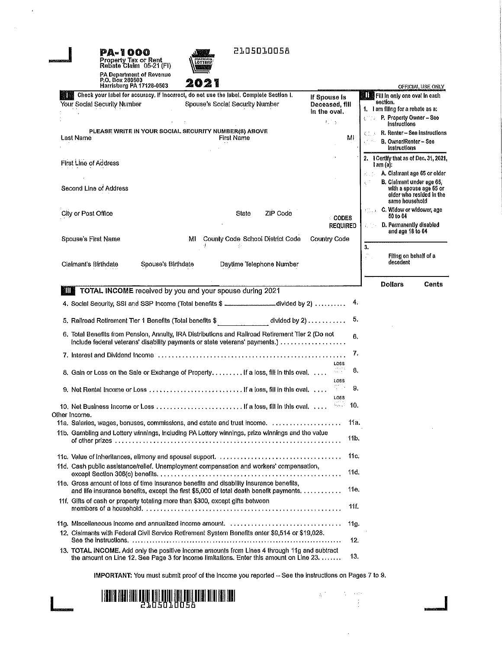

 $\epsilon$ 



2105010058

|    | <b>Harrisburg PA 17128-0503</b>                                                                                                                                                         |                   | 2021                                                                                                                      |                                   |                                                                     |            |                                                                                                                                          | OFFICIAL USE ONLY                                   |
|----|-----------------------------------------------------------------------------------------------------------------------------------------------------------------------------------------|-------------------|---------------------------------------------------------------------------------------------------------------------------|-----------------------------------|---------------------------------------------------------------------|------------|------------------------------------------------------------------------------------------------------------------------------------------|-----------------------------------------------------|
|    | Your Social Security Number                                                                                                                                                             |                   | Check your label for accuracy, if incorrect, do not use the label. Complete Section I.<br>Spouse's Social Security Number |                                   | If Spouse Is<br>Deceased, fill<br>In the oval.<br>$E_1 \rightarrow$ |            | ■ Fill In only one oval In each<br>Ħ.<br>section.<br>1. I am filing for a rebate as a:<br><b>P. Property Owner - See</b><br>Instructions |                                                     |
|    | Last Name                                                                                                                                                                               |                   | PLEASE WRITE IN YOUR SOCIAL SECURITY NUMBER(S) ABOVE<br>First Name                                                        |                                   |                                                                     | MI         | R. Renter - See Instructions                                                                                                             |                                                     |
|    |                                                                                                                                                                                         |                   |                                                                                                                           |                                   |                                                                     |            | B. Owner/Renter - See<br><b>Instructions</b>                                                                                             |                                                     |
|    | First Line of Address                                                                                                                                                                   |                   |                                                                                                                           |                                   |                                                                     |            | 2. I Certify that as of Dec. 31, 2021,<br>l am (a).                                                                                      |                                                     |
|    | Second Line of Address                                                                                                                                                                  |                   |                                                                                                                           |                                   |                                                                     |            | A. Claimant age 65 or older<br>B. Claimant under age 65,<br>same household                                                               | with a spouse age 65 or<br>older who resided in the |
|    | City or Post Office                                                                                                                                                                     |                   | State                                                                                                                     | ZIP Code                          | <b>CODES</b>                                                        |            | C. Widow or widower, age<br>50 to 64                                                                                                     |                                                     |
|    | Spouse's First Name                                                                                                                                                                     | MI                | County Code School District Code                                                                                          |                                   | <b>REQUIRED</b><br><b>Country Code</b>                              |            | D. Permanently disabled<br>若ない<br>and age 18 to 64                                                                                       |                                                     |
|    |                                                                                                                                                                                         |                   | šr.                                                                                                                       |                                   |                                                                     |            | 3.                                                                                                                                       |                                                     |
|    | Claimant's Birthdate                                                                                                                                                                    | Spouse's Binhoate | Daytime Telephone Number                                                                                                  |                                   |                                                                     |            | Filing on behalf of a<br>decedent                                                                                                        |                                                     |
|    |                                                                                                                                                                                         |                   |                                                                                                                           |                                   |                                                                     |            | <b>Dollars</b>                                                                                                                           | Cents                                               |
| ЩH |                                                                                                                                                                                         |                   | TOTAL INCOME received by you and your spouse during 2021                                                                  |                                   |                                                                     |            |                                                                                                                                          |                                                     |
|    | 4. Social Security, SSI and SSP Income (Total benefits \$ _______________divided by 2)                                                                                                  |                   |                                                                                                                           |                                   |                                                                     | 4.         |                                                                                                                                          |                                                     |
|    | 5. Railroad Retirement Tier 1 Benefits (Total benefits \$                                                                                                                               |                   |                                                                                                                           | divided by 2) $\dots \dots \dots$ |                                                                     | 5.         |                                                                                                                                          |                                                     |
|    | 6. Total Benefits from Pension, Annulty, IRA Distributions and Railroad Retirement Tier 2 (Do not<br>include federal veterans' disability payments or state veterans' payments.)        |                   |                                                                                                                           |                                   |                                                                     | 6.         |                                                                                                                                          |                                                     |
|    |                                                                                                                                                                                         |                   |                                                                                                                           |                                   | LOSS                                                                | 7,         |                                                                                                                                          |                                                     |
|    | 8. Gain or Loss on the Sale or Exchange of Property If a loss, fill in this oval                                                                                                        |                   |                                                                                                                           |                                   | 立てき<br>LOSS                                                         | 8.         |                                                                                                                                          |                                                     |
|    |                                                                                                                                                                                         |                   |                                                                                                                           |                                   | ņu,<br>LOSS                                                         | 9.         |                                                                                                                                          |                                                     |
|    | Other Income.                                                                                                                                                                           |                   |                                                                                                                           |                                   | C. P                                                                | 10.        |                                                                                                                                          |                                                     |
|    | 11a, Salaries, wages, bonuses, commissions, and estate and trust income. (intercontentation)                                                                                            |                   |                                                                                                                           |                                   |                                                                     | 11a.       |                                                                                                                                          |                                                     |
|    | 11b. Gambling and Lottery winnings, including PA Lottery winnings, prize winnings and the value                                                                                         |                   |                                                                                                                           |                                   |                                                                     | 11b.       |                                                                                                                                          |                                                     |
|    |                                                                                                                                                                                         |                   |                                                                                                                           |                                   |                                                                     | 11c.       |                                                                                                                                          |                                                     |
|    | 11d. Cash public assistance/relief. Unemployment compensation and workers' compensation,                                                                                                |                   |                                                                                                                           |                                   |                                                                     | 11d.       |                                                                                                                                          |                                                     |
|    | 11e. Gross amount of loss of time insurance benefits and disability insurance benefits,<br>and life insurance benefits, except the first \$5,000 of total death benefit payments.       |                   |                                                                                                                           |                                   |                                                                     | 11e.       |                                                                                                                                          |                                                     |
|    | 11f. Gifts of cash or property totaling more than \$300, except gifts between                                                                                                           |                   |                                                                                                                           |                                   |                                                                     | 11f.       |                                                                                                                                          |                                                     |
|    |                                                                                                                                                                                         |                   |                                                                                                                           |                                   |                                                                     | 11g.       |                                                                                                                                          |                                                     |
|    | 12. Claimants with Federal Civil Service Retirement System Benefits enter \$9,514 or \$19,028.                                                                                          |                   |                                                                                                                           |                                   |                                                                     |            |                                                                                                                                          |                                                     |
|    | 13. TOTAL INCOME. Add only the positive income amounts from Lines 4 through 11g and subtract<br>the amount on Line 12, See Page 3 for income limitations. Enter this amount on Line 23, |                   |                                                                                                                           |                                   |                                                                     | 12.<br>13. |                                                                                                                                          |                                                     |
|    |                                                                                                                                                                                         |                   | IMPORTANT: You must submit proof of the income you reported -- See the instructions on Pages 7 to 9.                      |                                   |                                                                     |            |                                                                                                                                          |                                                     |

 $\Delta^{(2)} = 1/2 = 0.25$ 

 $\frac{1}{2}$ 

 $\bar{z}$